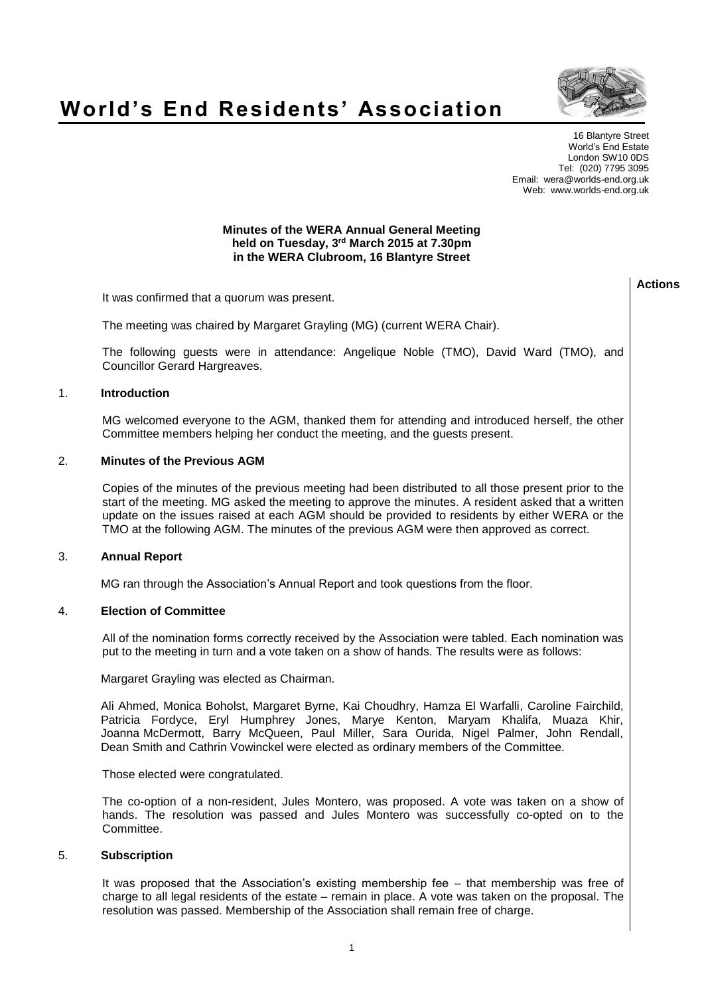# **World's End Residents' Association**



16 Blantyre Street World's End Estate London SW10 0DS Tel: (020) 7795 3095 Email: wera@worlds-end.org.uk Web: www.worlds-end.org.uk

# **Minutes of the WERA Annual General Meeting held on Tuesday, 3 rd March 2015 at 7.30pm in the WERA Clubroom, 16 Blantyre Street**

It was confirmed that a quorum was present.

The meeting was chaired by Margaret Grayling (MG) (current WERA Chair).

The following guests were in attendance: Angelique Noble (TMO), David Ward (TMO), and Councillor Gerard Hargreaves.

#### 1. **Introduction**

MG welcomed everyone to the AGM, thanked them for attending and introduced herself, the other Committee members helping her conduct the meeting, and the guests present.

#### 2. **Minutes of the Previous AGM**

Copies of the minutes of the previous meeting had been distributed to all those present prior to the start of the meeting. MG asked the meeting to approve the minutes. A resident asked that a written update on the issues raised at each AGM should be provided to residents by either WERA or the TMO at the following AGM. The minutes of the previous AGM were then approved as correct.

## 3. **Annual Report**

MG ran through the Association's Annual Report and took questions from the floor.

## 4. **Election of Committee**

All of the nomination forms correctly received by the Association were tabled. Each nomination was put to the meeting in turn and a vote taken on a show of hands. The results were as follows:

Margaret Grayling was elected as Chairman.

Ali Ahmed, Monica Boholst, Margaret Byrne, Kai Choudhry, Hamza El Warfalli, Caroline Fairchild, Patricia Fordyce, Eryl Humphrey Jones, Marye Kenton, Maryam Khalifa, Muaza Khir, Joanna McDermott, Barry McQueen, Paul Miller, Sara Ourida, Nigel Palmer, John Rendall, Dean Smith and Cathrin Vowinckel were elected as ordinary members of the Committee.

Those elected were congratulated.

The co-option of a non-resident, Jules Montero, was proposed. A vote was taken on a show of hands. The resolution was passed and Jules Montero was successfully co-opted on to the Committee.

## 5. **Subscription**

It was proposed that the Association's existing membership fee – that membership was free of charge to all legal residents of the estate – remain in place. A vote was taken on the proposal. The resolution was passed. Membership of the Association shall remain free of charge.